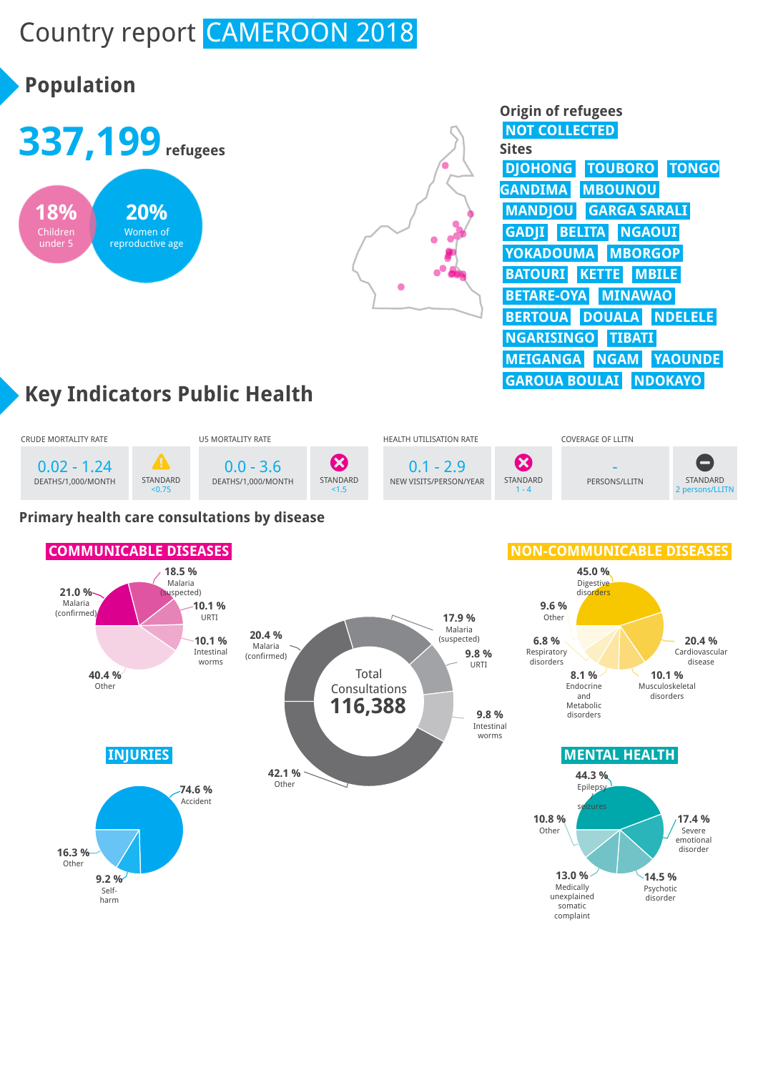# Country report CAMEROON 2018







| <b>Origin of refugees</b>              |
|----------------------------------------|
| <b>NOT COLLECTED</b>                   |
| Sites                                  |
| <b>TOUBORO TONGO</b><br><b>DJOHONG</b> |
| <b>MBOUNOU</b><br><b>GANDIMA</b>       |
| <b>MANDJOU GARGA SARALI</b>            |
| <b>GADJI BELITA NGAOUI</b>             |
| YOKADOUMA MBORGOP                      |
| <b>BATOURI KETTE MBILE</b>             |
| <b>BETARE-OYA MINAWAO</b>              |
| <b>BERTOUA DOUALA NDELELE</b>          |
| <b>NGARISINGO TIBATI</b>               |
| MEIGANGA NGAM YAOUNDE                  |
| <b>GAROUA BOULAI</b><br><b>NDOKAYO</b> |

# **Key Indicators Public Health**



### **COMMUNICABLE DISEASES INJURIES MENTAL HEALTH 21.0 %** Malaria (confirmed) **18.5 %** Malaria (suspected) **10.1 %** URTI **10.1 %** Intestinal worms **40.4 %** Other **45.0 %** Digestive disorders **20.4 %** Cardiovascular disease **10.1 %** Musculoskeletal disorders **8.1 %** Endocrine and Metabolic disorders **6.8 %** Respiratory disorders **9.6 %** Other **74.6 %** Accident **9.2 %** Selfharm **16.3 %** Other **44.3 %** Epilepsy / seizures **17.4 %** Severe emotional disorder **14.5 % Psychotic** disorder **13.0 %** Medically unexplained somatic complaint **10.8 %** Other Total Consultations **20.4 %** Malaria (confirmed) **17.9 %** Malaria (suspected) **9.8 %** URTI **9.8 %** Intestinal worms **42.1 %** Other **116,388**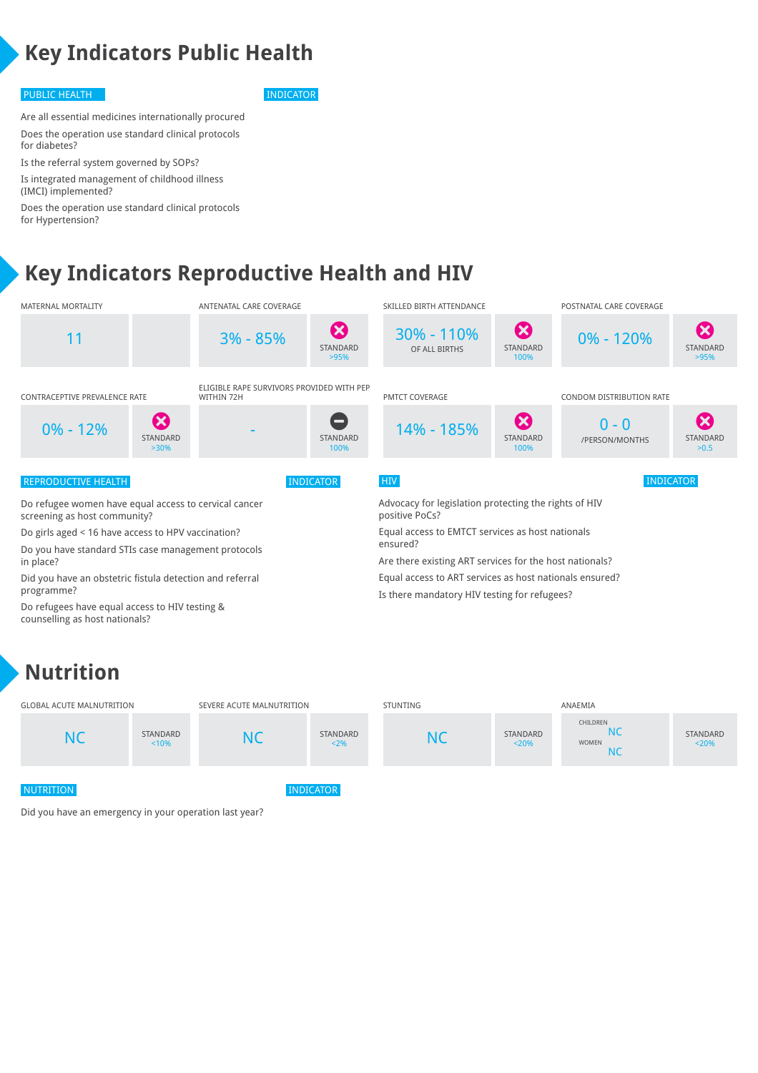# **Key Indicators Public Health**

### PUBLIC HEALTH INDICATOR

Are all essential medicines internationally procured Does the operation use standard clinical protocols for diabetes?

Is the referral system governed by SOPs? Is integrated management of childhood illness (IMCI) implemented?

Does the operation use standard clinical protocols for Hypertension?

# **Key Indicators Reproductive Health and HIV**



## **Nutrition**



Did you have an emergency in your operation last year?